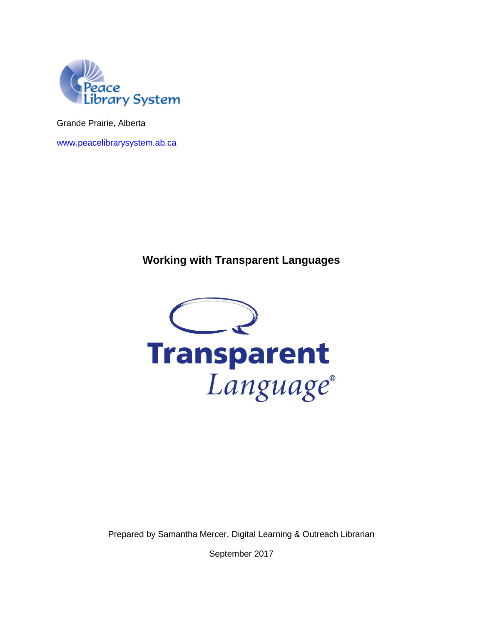

Grande Prairie, Alberta

[www.peacelibrarysystem.ab.ca](http://www.peacelibrarysystem.ab.ca/)

## **Working with Transparent Languages**



Prepared by Samantha Mercer, Digital Learning & Outreach Librarian

September 2017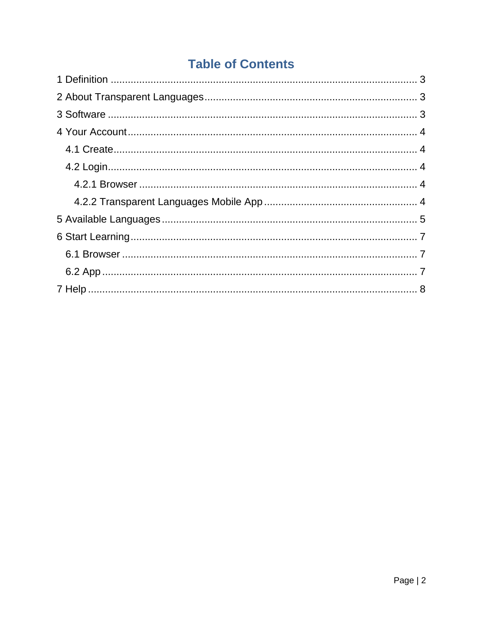# **Table of Contents**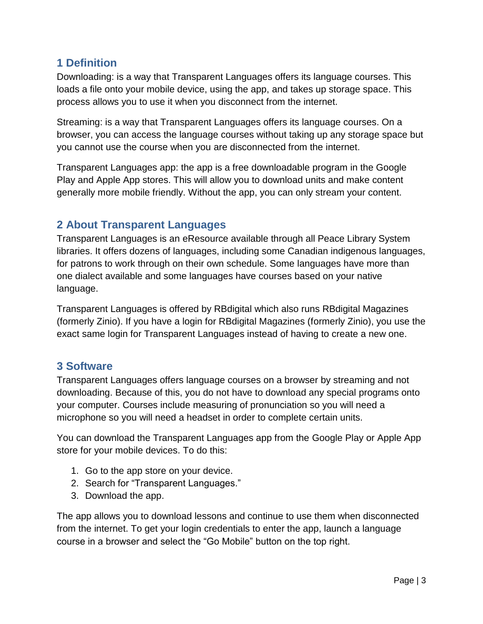## <span id="page-2-0"></span>**1 Definition**

Downloading: is a way that Transparent Languages offers its language courses. This loads a file onto your mobile device, using the app, and takes up storage space. This process allows you to use it when you disconnect from the internet.

Streaming: is a way that Transparent Languages offers its language courses. On a browser, you can access the language courses without taking up any storage space but you cannot use the course when you are disconnected from the internet.

Transparent Languages app: the app is a free downloadable program in the Google Play and Apple App stores. This will allow you to download units and make content generally more mobile friendly. Without the app, you can only stream your content.

## <span id="page-2-1"></span>**2 About Transparent Languages**

Transparent Languages is an eResource available through all Peace Library System libraries. It offers dozens of languages, including some Canadian indigenous languages, for patrons to work through on their own schedule. Some languages have more than one dialect available and some languages have courses based on your native language.

Transparent Languages is offered by RBdigital which also runs RBdigital Magazines (formerly Zinio). If you have a login for RBdigital Magazines (formerly Zinio), you use the exact same login for Transparent Languages instead of having to create a new one.

## <span id="page-2-2"></span>**3 Software**

Transparent Languages offers language courses on a browser by streaming and not downloading. Because of this, you do not have to download any special programs onto your computer. Courses include measuring of pronunciation so you will need a microphone so you will need a headset in order to complete certain units.

You can download the Transparent Languages app from the Google Play or Apple App store for your mobile devices. To do this:

- 1. Go to the app store on your device.
- 2. Search for "Transparent Languages."
- 3. Download the app.

The app allows you to download lessons and continue to use them when disconnected from the internet. To get your login credentials to enter the app, launch a language course in a browser and select the "Go Mobile" button on the top right.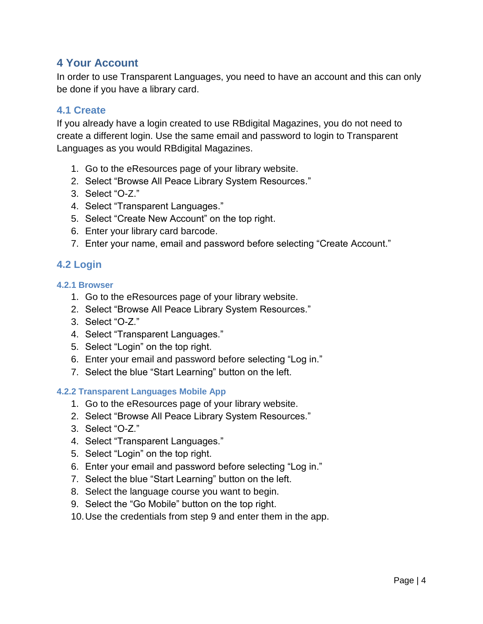## <span id="page-3-0"></span>**4 Your Account**

In order to use Transparent Languages, you need to have an account and this can only be done if you have a library card.

#### <span id="page-3-1"></span>**4.1 Create**

If you already have a login created to use RBdigital Magazines, you do not need to create a different login. Use the same email and password to login to Transparent Languages as you would RBdigital Magazines.

- 1. Go to the eResources page of your library website.
- 2. Select "Browse All Peace Library System Resources."
- 3. Select "O-Z."
- 4. Select "Transparent Languages."
- 5. Select "Create New Account" on the top right.
- 6. Enter your library card barcode.
- 7. Enter your name, email and password before selecting "Create Account."

### <span id="page-3-2"></span>**4.2 Login**

#### <span id="page-3-3"></span>**4.2.1 Browser**

- 1. Go to the eResources page of your library website.
- 2. Select "Browse All Peace Library System Resources."
- 3. Select "O-Z."
- 4. Select "Transparent Languages."
- 5. Select "Login" on the top right.
- 6. Enter your email and password before selecting "Log in."
- 7. Select the blue "Start Learning" button on the left.

#### <span id="page-3-4"></span>**4.2.2 Transparent Languages Mobile App**

- 1. Go to the eResources page of your library website.
- 2. Select "Browse All Peace Library System Resources."
- 3. Select "O-Z."
- 4. Select "Transparent Languages."
- 5. Select "Login" on the top right.
- 6. Enter your email and password before selecting "Log in."
- 7. Select the blue "Start Learning" button on the left.
- 8. Select the language course you want to begin.
- 9. Select the "Go Mobile" button on the top right.
- 10.Use the credentials from step 9 and enter them in the app.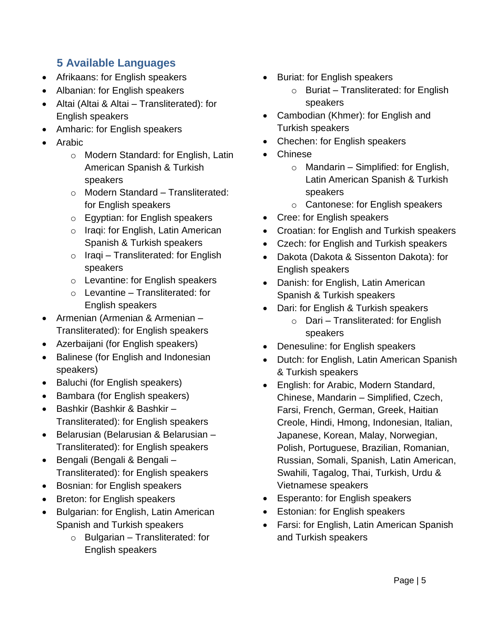## <span id="page-4-0"></span>**5 Available Languages**

- Afrikaans: for English speakers
- Albanian: for English speakers
- Altai (Altai & Altai Transliterated): for English speakers
- Amharic: for English speakers
- Arabic
	- o Modern Standard: for English, Latin American Spanish & Turkish speakers
	- o Modern Standard Transliterated: for English speakers
	- o Egyptian: for English speakers
	- o Iraqi: for English, Latin American Spanish & Turkish speakers
	- $\circ$  Iraqi Transliterated: for English speakers
	- o Levantine: for English speakers
	- $\circ$  Levantine Transliterated: for English speakers
- Armenian (Armenian & Armenian Transliterated): for English speakers
- Azerbaijani (for English speakers)
- Balinese (for English and Indonesian speakers)
- Baluchi (for English speakers)
- Bambara (for English speakers)
- Bashkir (Bashkir & Bashkir Transliterated): for English speakers
- Belarusian (Belarusian & Belarusian Transliterated): for English speakers
- Bengali (Bengali & Bengali Transliterated): for English speakers
- Bosnian: for English speakers
- Breton: for English speakers
- Bulgarian: for English, Latin American Spanish and Turkish speakers
	- $\circ$  Bulgarian Transliterated: for English speakers
- Buriat: for English speakers
	- $\circ$  Buriat Transliterated: for English speakers
- Cambodian (Khmer): for English and Turkish speakers
- Chechen: for English speakers
- Chinese
	- $\circ$  Mandarin Simplified: for English, Latin American Spanish & Turkish speakers
	- o Cantonese: for English speakers
- Cree: for English speakers
- Croatian: for English and Turkish speakers
- Czech: for English and Turkish speakers
- Dakota (Dakota & Sissenton Dakota): for English speakers
- Danish: for English, Latin American Spanish & Turkish speakers
- Dari: for English & Turkish speakers
	- $\circ$  Dari Transliterated: for English speakers
- Denesuline: for English speakers
- Dutch: for English, Latin American Spanish & Turkish speakers
- English: for Arabic, Modern Standard, Chinese, Mandarin – Simplified, Czech, Farsi, French, German, Greek, Haitian Creole, Hindi, Hmong, Indonesian, Italian, Japanese, Korean, Malay, Norwegian, Polish, Portuguese, Brazilian, Romanian, Russian, Somali, Spanish, Latin American, Swahili, Tagalog, Thai, Turkish, Urdu & Vietnamese speakers
- Esperanto: for English speakers
- Estonian: for English speakers
- Farsi: for English, Latin American Spanish and Turkish speakers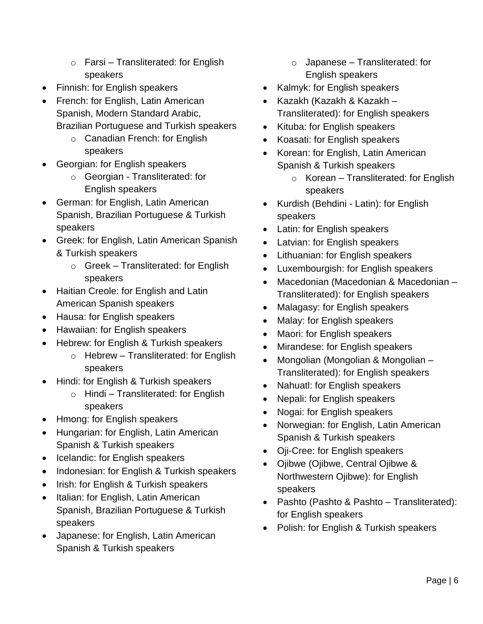- $\circ$  Farsi Transliterated: for English speakers
- Finnish: for English speakers
- French: for English, Latin American Spanish, Modern Standard Arabic, Brazilian Portuguese and Turkish speakers
	- o Canadian French: for English speakers
- Georgian: for English speakers
	- o Georgian Transliterated: for English speakers
- German: for English, Latin American Spanish, Brazilian Portuguese & Turkish speakers
- Greek: for English, Latin American Spanish & Turkish speakers
	- o Greek Transliterated: for English speakers
- Haitian Creole: for English and Latin American Spanish speakers
- Hausa: for English speakers
- Hawaiian: for English speakers
- Hebrew: for English & Turkish speakers
	- o Hebrew Transliterated: for English speakers
- Hindi: for English & Turkish speakers
	- o Hindi Transliterated: for English speakers
- Hmong: for English speakers
- Hungarian: for English, Latin American Spanish & Turkish speakers
- Icelandic: for English speakers
- Indonesian: for English & Turkish speakers
- Irish: for English & Turkish speakers
- Italian: for English, Latin American Spanish, Brazilian Portuguese & Turkish speakers
- Japanese: for English, Latin American Spanish & Turkish speakers
- $\circ$  Japanese Transliterated: for English speakers
- Kalmyk: for English speakers
- Kazakh (Kazakh & Kazakh Transliterated): for English speakers
- Kituba: for English speakers
- Koasati: for English speakers
- Korean: for English, Latin American Spanish & Turkish speakers
	- $\circ$  Korean Transliterated: for English speakers
- Kurdish (Behdini Latin): for English speakers
- Latin: for English speakers
- Latvian: for English speakers
- Lithuanian: for English speakers
- Luxembourgish: for English speakers
- Macedonian (Macedonian & Macedonian Transliterated): for English speakers
- Malagasy: for English speakers
- Malay: for English speakers
- Maori: for English speakers
- Mirandese: for English speakers
- Mongolian (Mongolian & Mongolian Transliterated): for English speakers
- Nahuatl: for English speakers
- Nepali: for English speakers
- Nogai: for English speakers
- Norwegian: for English, Latin American Spanish & Turkish speakers
- Oji-Cree: for English speakers
- Ojibwe (Ojibwe, Central Ojibwe & Northwestern Ojibwe): for English speakers
- Pashto (Pashto & Pashto Transliterated): for English speakers
- Polish: for English & Turkish speakers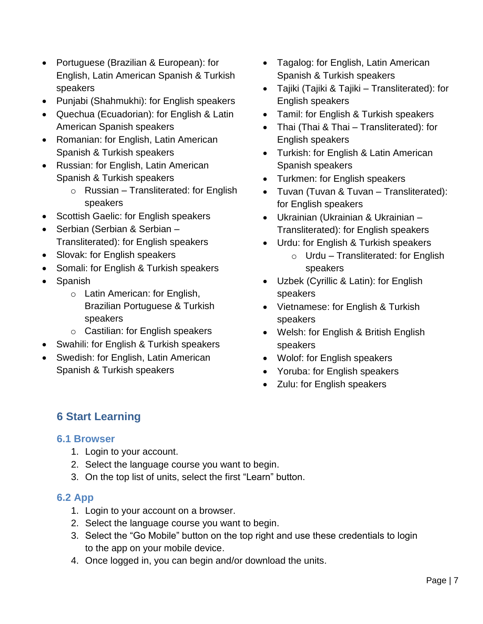- Portuguese (Brazilian & European): for English, Latin American Spanish & Turkish speakers
- Punjabi (Shahmukhi): for English speakers
- Quechua (Ecuadorian): for English & Latin American Spanish speakers
- Romanian: for English, Latin American Spanish & Turkish speakers
- Russian: for English, Latin American Spanish & Turkish speakers
	- $\circ$  Russian Transliterated: for English speakers
- Scottish Gaelic: for English speakers
- Serbian (Serbian & Serbian Transliterated): for English speakers
- Slovak: for English speakers
- Somali: for English & Turkish speakers
- Spanish
	- o Latin American: for English, Brazilian Portuguese & Turkish speakers
	- o Castilian: for English speakers
- Swahili: for English & Turkish speakers
- Swedish: for English, Latin American Spanish & Turkish speakers
- Tagalog: for English, Latin American Spanish & Turkish speakers
- Tajiki (Tajiki & Tajiki Transliterated): for English speakers
- Tamil: for English & Turkish speakers
- Thai (Thai & Thai Transliterated): for English speakers
- Turkish: for English & Latin American Spanish speakers
- Turkmen: for English speakers
- Tuvan (Tuvan & Tuvan Transliterated): for English speakers
- Ukrainian (Ukrainian & Ukrainian Transliterated): for English speakers
- Urdu: for English & Turkish speakers
	- $\circ$  Urdu Transliterated: for English speakers
- Uzbek (Cyrillic & Latin): for English speakers
- Vietnamese: for English & Turkish speakers
- Welsh: for English & British English speakers
- Wolof: for English speakers
- Yoruba: for English speakers
- Zulu: for English speakers

## <span id="page-6-0"></span>**6 Start Learning**

#### <span id="page-6-1"></span>**6.1 Browser**

- 1. Login to your account.
- 2. Select the language course you want to begin.
- 3. On the top list of units, select the first "Learn" button.

### <span id="page-6-2"></span>**6.2 App**

- 1. Login to your account on a browser.
- 2. Select the language course you want to begin.
- 3. Select the "Go Mobile" button on the top right and use these credentials to login to the app on your mobile device.
- 4. Once logged in, you can begin and/or download the units.